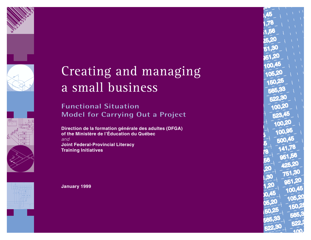



# Creating and managing a small business

**Functional Situation Model for Carrying Out a Project**

**Direction de la formation g é n érale des adultes (DFGA) of the Minist ère de l'Éducation du Qu ébec** *and* **Joint Federal-Provincial Literacy Training Initiatives**

**January 1999**

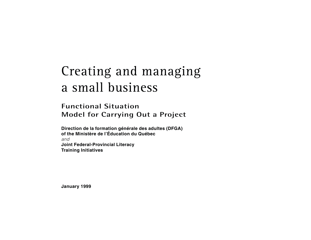# Creating and managing a small business

# **Functional Situation Model for Carrying Out a Project**

**Direction de la formation générale des adultes (DFGA) of the Ministère de l'Éducation du Québec** *and* **Joint Federal-Provincial Literacy Training Initiatives**

**January 1999**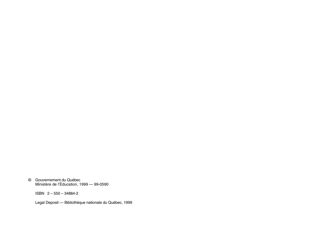© Gouvernement du Québec Ministère de l'Éducation, 1999 — 99-0590

ISBN 2 – 550 – 34884-2

Legal Deposit — Bibliothèque nationale du Québec, 1999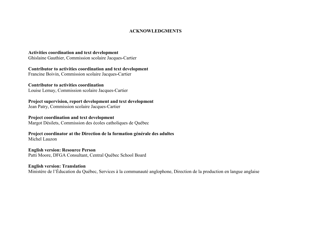#### **ACKNOWLEDGMENTS**

#### **Activities coordination and text development**

Ghislaine Gauthier, Commission scolaire Jacques-Cartier

**Contributor to activities coordination and text development** Francine Boivin, Commission scolaire Jacques-Cartier

**Contributor to activities coordination**

Louise Lemay, Commission scolaire Jacques-Cartier

**Project supervision, report development and text development** Jean Patry, Commission scolaire Jacques-Cartier

**Project coordination and text development** Margot Désilets, Commission des écoles catholiques de Québec

**Project coordinator at the Direction de la formation générale des adultes** Michel Lauzon

**English version: Resource Person** Patti Moore, DFGA Consultant, Central Québec School Board

**English version: Translation**

Ministère de l'Éducation du Québec, Services à la communauté anglophone, Direction de la production en langue anglaise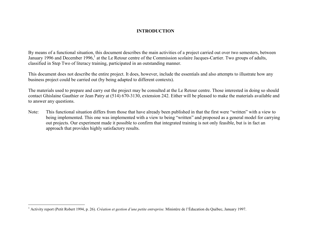#### **INTRODUCTION**

By means of a functional situation, this document describes the main activities of a project carried out over two semesters, between January 1996 and December 1996,<sup>1</sup> at the Le Retour centre of the Commission scolaire Jacques-Cartier. Two groups of adults, classified in Step Two of literacy training, participated in an outstanding manner.

This document does not describe the entire project. It does, however, include the essentials and also attempts to illustrate how any business project could be carried out (by being adapted to different contexts).

The materials used to prepare and carry out the project may be consulted at the Le Retour centre. Those interested in doing so should contact Ghislaine Gauthier or Jean Patry at (514) 670-3130, extension 242. Either will be pleased to make the materials available and to answer any questions.

Note: This functional situation differs from those that have already been published in that the first were "written" with a view to being implemented. This one was implemented with a view to being "written" and proposed as a general model for carrying out projects. Our experiment made it possible to confirm that integrated training is not only feasible, but is in fact an approach that provides highly satisfactory results.

<sup>1</sup> Activity report (Petit Robert 1994, p. 26). *Création et gestion d'une petite entreprise.* Ministère de l'Éducation du Québec, January 1997.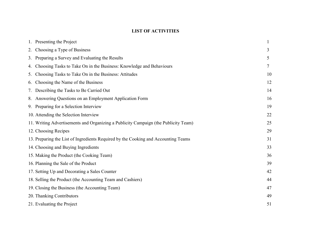# **LIST OF ACTIVITIES**

| 1. Presenting the Project                                                           |    |
|-------------------------------------------------------------------------------------|----|
| Choosing a Type of Business<br>2.                                                   | 3  |
| Preparing a Survey and Evaluating the Results<br>3.                                 | 5  |
| Choosing Tasks to Take On in the Business: Knowledge and Behaviours<br>4.           | 7  |
| Choosing Tasks to Take On in the Business: Attitudes<br>5.                          | 10 |
| Choosing the Name of the Business<br>6.                                             | 12 |
| Describing the Tasks to Be Carried Out<br>7.                                        | 14 |
| 8. Answering Questions on an Employment Application Form                            | 16 |
| 9. Preparing for a Selection Interview                                              | 19 |
| 10. Attending the Selection Interview                                               | 22 |
| 11. Writing Advertisements and Organizing a Publicity Campaign (the Publicity Team) | 25 |
| 12. Choosing Recipes                                                                | 29 |
| 13. Preparing the List of Ingredients Required by the Cooking and Accounting Teams  | 31 |
| 14. Choosing and Buying Ingredients                                                 | 33 |
| 15. Making the Product (the Cooking Team)                                           | 36 |
| 16. Planning the Sale of the Product                                                | 39 |
| 17. Setting Up and Decorating a Sales Counter                                       | 42 |
| 18. Selling the Product (the Accounting Team and Cashiers)                          | 44 |
| 19. Closing the Business (the Accounting Team)                                      | 47 |
| 20. Thanking Contributors                                                           | 49 |
| 21. Evaluating the Project                                                          | 51 |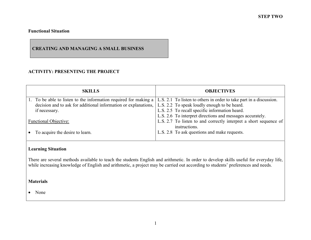# **CREATING AND MANAGING A SMALL BUSINESS**

# **ACTIVITY: PRESENTING THE PROJECT**

| <b>SKILLS</b>                                                   | <b>OBJECTIVES</b>                                                                  |
|-----------------------------------------------------------------|------------------------------------------------------------------------------------|
| To be able to listen to the information required for making a   | L.S. 2.1 To listen to others in order to take part in a discussion.                |
| decision and to ask for additional information or explanations, | L.S. 2.2 To speak loudly enough to be heard.                                       |
| if necessary.                                                   | L.S. 2.5 To recall specific information heard.                                     |
|                                                                 | L.S. 2.6 To interpret directions and messages accurately.                          |
| <b>Functional Objective:</b>                                    | L.S. 2.7 To listen to and correctly interpret a short sequence of<br>instructions. |
| To acquire the desire to learn.                                 | L.S. 2.8 To ask questions and make requests.                                       |

# **Learning Situation**

There are several methods available to teach the students English and arithmetic. In order to develop skills useful for everyday life, while increasing knowledge of English and arithmetic, a project may be carried out according to students' preferences and needs.

#### **Materials**

• None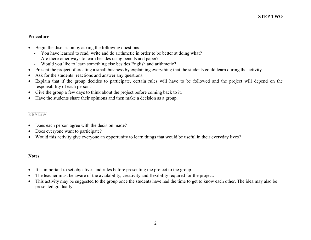- Begin the discussion by asking the following questions:
	- You have learned to read, write and do arithmetic in order to be better at doing what?
	- -Are there other ways to learn besides using pencils and paper?
	- Would you like to learn something else besides English and arithmetic?
- $\bullet$ Present the project of creating a small business by explaining everything that the students could learn during the activity.
- •Ask for the students' reactions and answer any questions.
- • Explain that if the group decides to participate, certain rules will have to be followed and the project will depend on the responsibility of each person.
- Give the group a few days to think about the project before coming back to it.
- Have the students share their opinions and then make a decision as a group.

# REVIEW

- •Does each person agree with the decision made?
- •Does everyone want to participate?
- $\bullet$ Would this activity give everyone an opportunity to learn things that would be useful in their everyday lives?

- •It is important to set objectives and rules before presenting the project to the group.
- •The teacher must be aware of the availability, creativity and flexibility required for the project.
- $\bullet$  This activity may be suggested to the group once the students have had the time to get to know each other. The idea may also be presented gradually.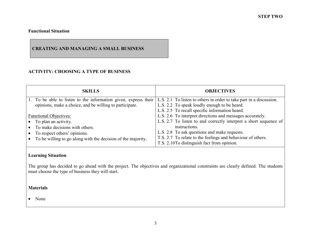# **CREATING AND MANAGING A SMALL BUSINESS**

# **ACTIVITY: CHOOSING A TYPE OF BUSINESS**

| <b>SKILLS</b>                                                                                                                       | <b>OBJECTIVES</b>                                                                                         |
|-------------------------------------------------------------------------------------------------------------------------------------|-----------------------------------------------------------------------------------------------------------|
| 1. To be able to listen to the information given, express their L.S. 2.1 To listen to others in order to take part in a discussion. |                                                                                                           |
| opinions, make a choice, and be willing to participate.                                                                             | L.S. 2.2 To speak loudly enough to be heard.                                                              |
|                                                                                                                                     | L.S. 2.5 To recall specific information heard.                                                            |
| <b>Functional Objectives:</b>                                                                                                       | L.S. 2.6 To interpret directions and messages accurately.                                                 |
| $\bullet$ To plan an activity.                                                                                                      | L.S. 2.7 To listen to and correctly interpret a short sequence of                                         |
| To make decisions with others.                                                                                                      | instructions.                                                                                             |
| To respect others' opinions.                                                                                                        | L.S. 2.8 To ask questions and make requests.                                                              |
| To be willing to go along with the decision of the majority.                                                                        | T.S. 2.7 To relate to the feelings and behaviour of others.<br>T.S. 2.10To distinguish fact from opinion. |

# **Learning Situation**

The group has decided to go ahead with the project. The objectives and organizational constraints are clearly defined. The students must choose the type of business they will start.

#### **Materials**

• None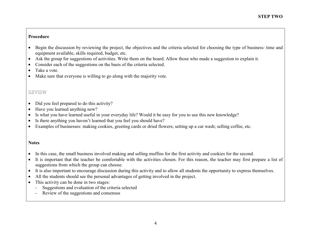- • Begin the discussion by reviewing the project, the objectives and the criteria selected for choosing the type of business: time and equipment available, skills required, budget, etc.
- •Ask the group for suggestions of activities. Write them on the board. Allow those who made a suggestion to explain it.
- •Consider each of the suggestions on the basis of the criteria selected.
- •Take a vote.
- •Make sure that everyone is willing to go along with the majority vote.

# REVIEW

- •Did you feel prepared to do this activity?
- •Have you learned anything new?
- •Is what you have learned useful in your everyday life? Would it be easy for you to use this new knowledge?
- •Is there anything you haven't learned that you feel you should have?
- $\bullet$ Examples of businesses: making cookies, greeting cards or dried flowers; setting up a car wash; selling coffee, etc.

- •In this case, the small business involved making and selling muffins for the first activity and cookies for the second.
- • It is important that the teacher be comfortable with the activities chosen. For this reason, the teacher may first prepare a list of suggestions from which the group can choose.
- •It is also important to encourage discussion during this activity and to allow all students the opportunity to express themselves.
- •All the students should see the personal advantages of getting involved in the project.
- • This activity can be done in two stages:
	- Suggestions and evaluation of the criteria selected
	- -Review of the suggestions and consensus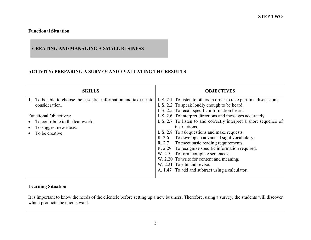# **CREATING AND MANAGING A SMALL BUSINESS**

# **ACTIVITY: PREPARING A SURVEY AND EVALUATING THE RESULTS**

| <b>SKILLS</b>                                                                                                                                                                                       | <b>OBJECTIVES</b>                                                                                                                                                                                                                                                                                                                                                                                                                                                                                                                                                                                                                                                                                     |
|-----------------------------------------------------------------------------------------------------------------------------------------------------------------------------------------------------|-------------------------------------------------------------------------------------------------------------------------------------------------------------------------------------------------------------------------------------------------------------------------------------------------------------------------------------------------------------------------------------------------------------------------------------------------------------------------------------------------------------------------------------------------------------------------------------------------------------------------------------------------------------------------------------------------------|
| 1. To be able to choose the essential information and take it into<br>consideration.<br><b>Functional Objectives:</b><br>To contribute to the teamwork.<br>To suggest new ideas.<br>To be creative. | L.S. 2.1 To listen to others in order to take part in a discussion.<br>L.S. 2.2 To speak loudly enough to be heard.<br>L.S. 2.5 To recall specific information heard.<br>L.S. 2.6 To interpret directions and messages accurately.<br>L.S. 2.7 To listen to and correctly interpret a short sequence of<br>instructions.<br>L.S. 2.8 To ask questions and make requests.<br>R. 2.6 To develop an advanced sight vocabulary.<br>R. 2.7 To meet basic reading requirements.<br>R. 2.29 To recognize specific information required.<br>W. 2.5 To form complete sentences.<br>W. 2.20 To write for content and meaning.<br>W. 2.21 To edit and revise.<br>A. 1.47 To add and subtract using a calculator. |

# **Learning Situation**

It is important to know the needs of the clientele before setting up a new business. Therefore, using a survey, the students will discover which products the clients want.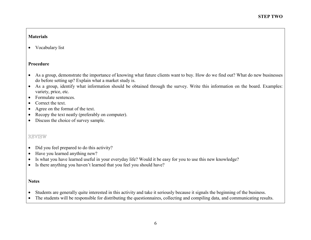## **Materials**

• Vocabulary list

# **Procedure**

- As a group, demonstrate the importance of knowing what future clients want to buy. How do we find out? What do new businesses do before setting up? Explain what a market study is.
- As a group, identify what information should be obtained through the survey. Write this information on the board. Examples: variety, price, etc.
- Formulate sentences.
- •Correct the text.
- $\bullet$ Agree on the format of the text.
- $\bullet$ Recopy the text neatly (preferably on computer).
- Discuss the choice of survey sample.

# REVIEW

- •Did you feel prepared to do this activity?
- •Have you learned anything new?
- $\bullet$ Is what you have learned useful in your everyday life? Would it be easy for you to use this new knowledge?
- $\bullet$ Is there anything you haven't learned that you feel you should have?

- $\bullet$ Students are generally quite interested in this activity and take it seriously because it signals the beginning of the business.
- $\bullet$ The students will be responsible for distributing the questionnaires, collecting and compiling data, and communicating results.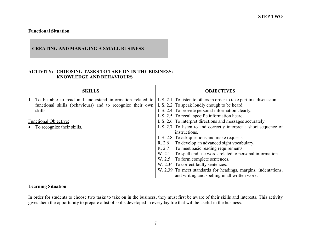# **CREATING AND MANAGING A SMALL BUSINESS**

#### **ACTIVITY: CHOOSING TASKS TO TAKE ON IN THE BUSINESS: KNOWLEDGE AND BEHAVIOURS**

| <b>SKILLS</b>                                                                                          | <b>OBJECTIVES</b>                                                   |
|--------------------------------------------------------------------------------------------------------|---------------------------------------------------------------------|
| 1. To be able to read and understand information related to                                            | L.S. 2.1 To listen to others in order to take part in a discussion. |
| functional skills (behaviours) and to recognize their own L.S. 2.2 To speak loudly enough to be heard. |                                                                     |
| skills.                                                                                                | L.S. 2.4 To provide personal information clearly.                   |
|                                                                                                        | L.S. 2.5 To recall specific information heard.                      |
| <b>Functional Objective:</b>                                                                           | L.S. 2.6 To interpret directions and messages accurately.           |
| To recognize their skills.                                                                             | L.S. 2.7 To listen to and correctly interpret a short sequence of   |
|                                                                                                        | instructions.                                                       |
|                                                                                                        | L.S. 2.8 To ask questions and make requests.                        |
|                                                                                                        | R. 2.6 To develop an advanced sight vocabulary.                     |
|                                                                                                        | R. 2.7 To meet basic reading requirements.                          |
|                                                                                                        | To spell and use words related to personal information.<br>W. 2.1   |
|                                                                                                        | W. 2.5 To form complete sentences.                                  |
|                                                                                                        | W. 2.34 To correct faulty sentences.                                |
|                                                                                                        | W. 2.39 To meet standards for headings, margins, indentations,      |
|                                                                                                        | and writing and spelling in all written work.                       |

# **Learning Situation**

In order for students to choose two tasks to take on in the business, they must first be aware of their skills and interests. This activity gives them the opportunity to prepare a list of skills developed in everyday life that will be useful in the business.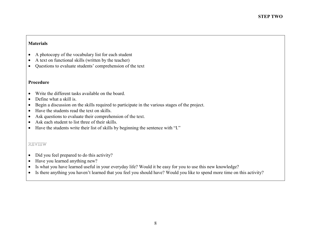# **Materials**

- •A photocopy of the vocabulary list for each student
- •A text on functional skills (written by the teacher)
- $\bullet$ Questions to evaluate students' comprehension of the text

#### **Procedure**

- $\bullet$ Write the different tasks available on the board.
- $\bullet$ Define what a skill is.
- $\bullet$ Begin a discussion on the skills required to participate in the various stages of the project.
- $\bullet$ Have the students read the text on skills.
- •Ask questions to evaluate their comprehension of the text.
- •Ask each student to list three of their skills.
- Have the students write their list of skills by beginning the sentence with "I."

# REVIEW

- $\bullet$ Did you feel prepared to do this activity?
- •Have you learned anything new?
- $\bullet$ Is what you have learned useful in your everyday life? Would it be easy for you to use this new knowledge?
- $\bullet$ Is there anything you haven't learned that you feel you should have? Would you like to spend more time on this activity?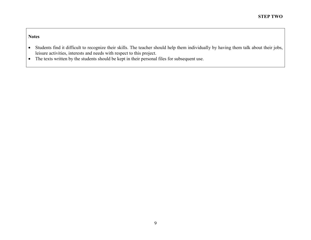- Students find it difficult to recognize their skills. The teacher should help them individually by having them talk about their jobs, leisure activities, interests and needs with respect to this project.
- The texts written by the students should be kept in their personal files for subsequent use.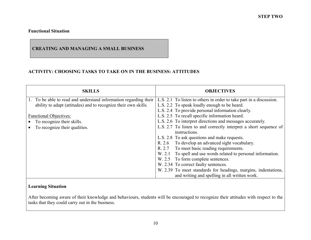# **CREATING AND MANAGING A SMALL BUSINESS**

# **ACTIVITY: CHOOSING TASKS TO TAKE ON IN THE BUSINESS: ATTITUDES**

| <b>SKILLS</b>                                                    | <b>OBJECTIVES</b>                                                   |
|------------------------------------------------------------------|---------------------------------------------------------------------|
| 1. To be able to read and understand information regarding their | L.S. 2.1 To listen to others in order to take part in a discussion. |
| ability to adapt (attitudes) and to recognize their own skills.  | L.S. 2.2 To speak loudly enough to be heard.                        |
|                                                                  | L.S. 2.4 To provide personal information clearly.                   |
| <b>Functional Objectives:</b>                                    | L.S. 2.5 To recall specific information heard.                      |
| To recognize their skills.                                       | L.S. 2.6 To interpret directions and messages accurately.           |
| To recognize their qualities.                                    | L.S. 2.7 To listen to and correctly interpret a short sequence of   |
|                                                                  | instructions.                                                       |
|                                                                  | L.S. 2.8 To ask questions and make requests.                        |
|                                                                  | R. 2.6 To develop an advanced sight vocabulary.                     |
|                                                                  | R. 2.7 To meet basic reading requirements.                          |
|                                                                  | To spell and use words related to personal information.<br>W. 2.1   |
|                                                                  | W. 2.5 To form complete sentences.                                  |
|                                                                  | W. 2.34 To correct faulty sentences.                                |
|                                                                  | W. 2.39 To meet standards for headings, margins, indentations,      |
|                                                                  | and writing and spelling in all written work.                       |

# **Learning Situation**

After becoming aware of their knowledge and behaviours, students will be encouraged to recognize their attitudes with respect to the tasks that they could carry out in the business.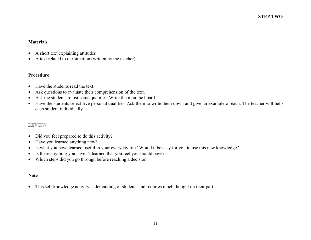#### **Materials**

- $\bullet$ A short text explaining attitudes
- A text related to the situation (written by the teacher)

#### **Procedure**

- •Have the students read the text.
- $\bullet$ Ask questions to evaluate their comprehension of the text.
- $\bullet$ Ask the students to list some qualities. Write them on the board.
- Have the students select five personal qualities. Ask them to write them down and give an example of each. The teacher will help each student individually.

# REVIEW

- $\bullet$ Did you feel prepared to do this activity?
- $\bullet$ Have you learned anything new?
- $\bullet$ Is what you have learned useful in your everyday life? Would it be easy for you to use this new knowledge?
- $\bullet$ Is there anything you haven't learned that you feel you should have?
- Which steps did you go through before reaching a decision.

#### **Note**

 $\bullet$ This self-knowledge activity is demanding of students and requires much thought on their part.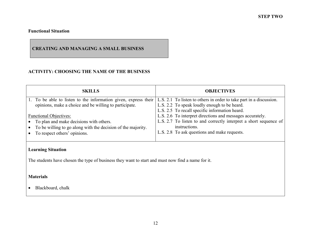# **CREATING AND MANAGING A SMALL BUSINESS**

# **ACTIVITY: CHOOSING THE NAME OF THE BUSINESS**

| <b>SKILLS</b>                                                                                                                       | <b>OBJECTIVES</b>                                                 |
|-------------------------------------------------------------------------------------------------------------------------------------|-------------------------------------------------------------------|
| 1. To be able to listen to the information given, express their L.S. 2.1 To listen to others in order to take part in a discussion. |                                                                   |
| opinions, make a choice and be willing to participate.                                                                              | L.S. 2.2 To speak loudly enough to be heard.                      |
|                                                                                                                                     | L.S. 2.5 To recall specific information heard.                    |
| <b>Functional Objectives:</b>                                                                                                       | L.S. 2.6 To interpret directions and messages accurately.         |
| To plan and make decisions with others.                                                                                             | L.S. 2.7 To listen to and correctly interpret a short sequence of |
| To be willing to go along with the decision of the majority.                                                                        | instructions.                                                     |
| To respect others' opinions.                                                                                                        | L.S. 2.8 To ask questions and make requests.                      |
|                                                                                                                                     |                                                                   |

# **Learning Situation**

The students have chosen the type of business they want to start and must now find a name for it.

# **Materials**

• Blackboard, chalk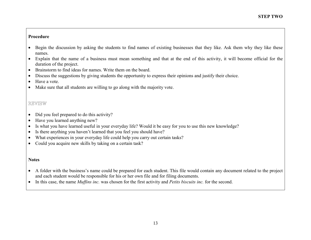- • Begin the discussion by asking the students to find names of existing businesses that they like. Ask them why they like these names.
- Explain that the name of a business must mean something and that at the end of this activity, it will become official for the duration of the project.
- Brainstorm to find ideas for names. Write them on the board.
- •Discuss the suggestions by giving students the opportunity to express their opinions and justify their choice.
- $\bullet$ Have a vote.
- •Make sure that all students are willing to go along with the majority vote.

# REVIEW

- $\bullet$ Did you feel prepared to do this activity?
- •Have you learned anything new?
- •Is what you have learned useful in your everyday life? Would it be easy for you to use this new knowledge?
- •Is there anything you haven't learned that you feel you should have?
- •What experiences in your everyday life could help you carry out certain tasks?
- Could you acquire new skills by taking on a certain task?

- A folder with the business's name could be prepared for each student. This file would contain any document related to the project and each student would be responsible for his or her own file and for filing documents.
- In this case, the name *Muffins inc.* was chosen for the first activity and *Petits biscuits inc.* for the second.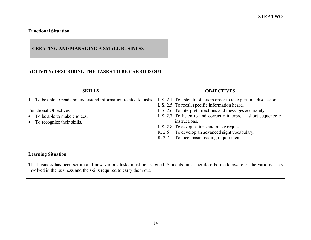# **CREATING AND MANAGING A SMALL BUSINESS**

# **ACTIVITY: DESCRIBING THE TASKS TO BE CARRIED OUT**

| <b>SKILLS</b>                                                                                  | <b>OBJECTIVES</b>                                                                                                                                                                                                                                                                                |
|------------------------------------------------------------------------------------------------|--------------------------------------------------------------------------------------------------------------------------------------------------------------------------------------------------------------------------------------------------------------------------------------------------|
| 1. To be able to read and understand information related to tasks.                             | L.S. 2.1 To listen to others in order to take part in a discussion.<br>L.S. 2.5 To recall specific information heard.                                                                                                                                                                            |
| <b>Functional Objectives:</b><br>• To be able to make choices.<br>• To recognize their skills. | L.S. 2.6 To interpret directions and messages accurately.<br>L.S. 2.7 To listen to and correctly interpret a short sequence of<br>instructions.<br>L.S. 2.8 To ask questions and make requests.<br>R. 2.6 To develop an advanced sight vocabulary.<br>R. 2.7 To meet basic reading requirements. |

# **Learning Situation**

The business has been set up and now various tasks must be assigned. Students must therefore be made aware of the various tasks involved in the business and the skills required to carry them out.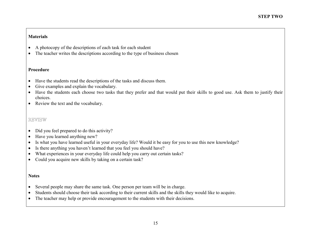# **Materials**

- •A photocopy of the descriptions of each task for each student
- The teacher writes the descriptions according to the type of business chosen

#### **Procedure**

- $\bullet$ Have the students read the descriptions of the tasks and discuss them.
- •Give examples and explain the vocabulary.
- Have the students each choose two tasks that they prefer and that would put their skills to good use. Ask them to justify their choices.
- Review the text and the vocabulary.

# REVIEW

- •Did you feel prepared to do this activity?
- •Have you learned anything new?
- •Is what you have learned useful in your everyday life? Would it be easy for you to use this new knowledge?
- •Is there anything you haven't learned that you feel you should have?
- •What experiences in your everyday life could help you carry out certain tasks?
- $\bullet$ Could you acquire new skills by taking on a certain task?

- •Several people may share the same task. One person per team will be in charge.
- •Students should choose their task according to their current skills and the skills they would like to acquire.
- $\bullet$ The teacher may help or provide encouragement to the students with their decisions.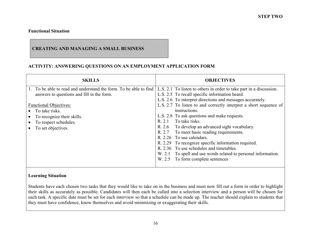# **CREATING AND MANAGING A SMALL BUSINESS**

#### **ACTIVITY: ANSWERING QUESTIONS ON AN EMPLOYMENT APPLICATION FORM**

| <b>SKILLS</b>                                                                                                                                                                                                                                | <b>OBJECTIVES</b>                                                                                                                                                                                                                                                                                                                                                                                                                                                                                                                                                                                                                                                                            |
|----------------------------------------------------------------------------------------------------------------------------------------------------------------------------------------------------------------------------------------------|----------------------------------------------------------------------------------------------------------------------------------------------------------------------------------------------------------------------------------------------------------------------------------------------------------------------------------------------------------------------------------------------------------------------------------------------------------------------------------------------------------------------------------------------------------------------------------------------------------------------------------------------------------------------------------------------|
| To be able to read and understand the form. To be able to find<br>answers to questions and fill in the form.<br><b>Functional Objectives:</b><br>To take risks.<br>To recognize their skills.<br>To respect schedules.<br>To set objectives. | L.S. 2.1 To listen to others in order to take part in a discussion.<br>L.S. 2.5 To recall specific information heard.<br>L.S. 2.6 To interpret directions and messages accurately.<br>L.S. 2.7 To listen to and correctly interpret a short sequence of<br>instructions.<br>L.S. 2.8 To ask questions and make requests.<br>R. 2.1 To take risks.<br>R. 2.6 To develop an advanced sight vocabulary.<br>R. 2.7 To meet basic reading requirements.<br>R. 2.26 To use calendars.<br>R. 2.29 To recognize specific information required.<br>R. 2.36 To use schedules and timetables.<br>To spell and use words related to personal information.<br>W. 2.1<br>W. 2.5 To form complete sentences |

#### **Learning Situation**

Students have each chosen two tasks that they would like to take on in the business and must now fill out a form in order to highlight their skills as accurately as possible. Candidates will then each be called into a selection interview and a person will be chosen for each task. A specific date must be set for each interview so that a schedule can be made up. The teacher should explain to students that they must have confidence, know themselves and avoid minimizing or exaggerating their skills.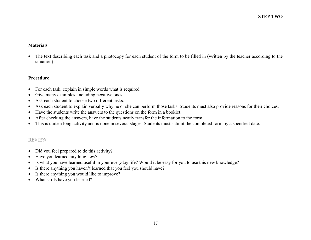#### **Materials**

• The text describing each task and a photocopy for each student of the form to be filled in (written by the teacher according to the situation)

#### **Procedure**

- $\bullet$ For each task, explain in simple words what is required.
- •Give many examples, including negative ones.
- $\bullet$ Ask each student to choose two different tasks.
- •Ask each student to explain verbally why he or she can perform those tasks. Students must also provide reasons for their choices.
- $\bullet$ Have the students write the answers to the questions on the form in a booklet.
- •After checking the answers, have the students neatly transfer the information to the form.
- This is quite a long activity and is done in several stages. Students must submit the completed form by a specified date.

# REVIEW

- $\bullet$ Did you feel prepared to do this activity?
- •Have you learned anything new?
- •Is what you have learned useful in your everyday life? Would it be easy for you to use this new knowledge?
- •Is there anything you haven't learned that you feel you should have?
- •Is there anything you would like to improve?
- $\bullet$ What skills have you learned?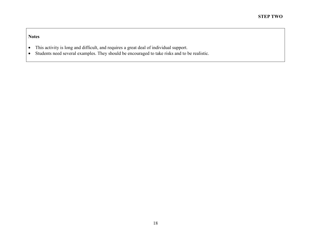- •This activity is long and difficult, and requires a great deal of individual support.
- •Students need several examples. They should be encouraged to take risks and to be realistic.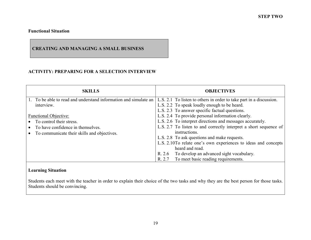# **CREATING AND MANAGING A SMALL BUSINESS**

# **ACTIVITY: PREPARING FOR A SELECTION INTERVIEW**

| <b>SKILLS</b>                                                    | <b>OBJECTIVES</b>                                                   |
|------------------------------------------------------------------|---------------------------------------------------------------------|
| 1. To be able to read and understand information and simulate an | L.S. 2.1 To listen to others in order to take part in a discussion. |
| interview.                                                       | L.S. 2.2 To speak loudly enough to be heard.                        |
|                                                                  | L.S. 2.3 To answer specific factual questions.                      |
| <b>Functional Objective:</b>                                     | L.S. 2.4 To provide personal information clearly.                   |
| To control their stress.                                         | L.S. 2.6 To interpret directions and messages accurately.           |
| To have confidence in themselves.                                | L.S. 2.7 To listen to and correctly interpret a short sequence of   |
| To communicate their skills and objectives.                      | instructions.                                                       |
|                                                                  | L.S. 2.8 To ask questions and make requests.                        |
|                                                                  | L.S. 2.10To relate one's own experiences to ideas and concepts      |
|                                                                  | heard and read.                                                     |
|                                                                  | To develop an advanced sight vocabulary.<br>R. 2.6                  |
|                                                                  | To meet basic reading requirements.<br>R. 2.7                       |

# **Learning Situation**

Students each meet with the teacher in order to explain their choice of the two tasks and why they are the best person for those tasks. Students should be convincing.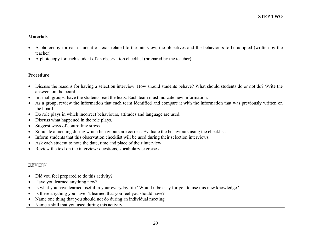#### **Materials**

- • A photocopy for each student of texts related to the interview, the objectives and the behaviours to be adopted (written by the teacher)
- •A photocopy for each student of an observation checklist (prepared by the teacher)

# **Procedure**

- Discuss the reasons for having a selection interview. How should students behave? What should students do or not do? Write the answers on the board.
- •In small groups, have the students read the texts. Each team must indicate new information.
- • As a group, review the information that each team identified and compare it with the information that was previously written on the board.
- Do role plays in which incorrect behaviours, attitudes and language are used.
- $\bullet$ Discuss what happened in the role plays.
- •Suggest ways of controlling stress.
- •Simulate a meeting during which behaviours are correct. Evaluate the behaviours using the checklist.
- •Inform students that this observation checklist will be used during their selection interviews.
- •Ask each student to note the date, time and place of their interview.
- Review the text on the interview: questions, vocabulary exercises.

# REVIEW

- •Did you feel prepared to do this activity?
- •Have you learned anything new?
- •Is what you have learned useful in your everyday life? Would it be easy for you to use this new knowledge?
- •Is there anything you haven't learned that you feel you should have?
- •Name one thing that you should not do during an individual meeting.
- •Name a skill that you used during this activity.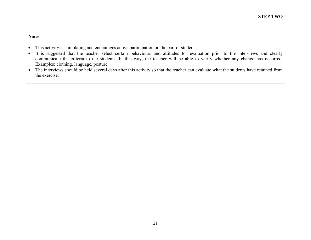- $\bullet$ This activity is stimulating and encourages active participation on the part of students.
- $\bullet$  It is suggested that the teacher select certain behaviours and attitudes for evaluation prior to the interviews and clearly communicate the criteria to the students. In this way, the teacher will be able to verify whether any change has occurred. Examples: clothing, language, posture
- The interviews should be held several days after this activity so that the teacher can evaluate what the students have retained from the exercise.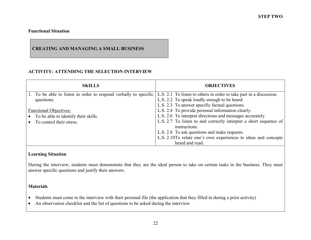# **CREATING AND MANAGING A SMALL BUSINESS**

# **ACTIVITY: ATTENDING THE SELECTION INTERVIEW**

| <b>SKILLS</b>                                                                                                                          | <b>OBJECTIVES</b>                                                 |
|----------------------------------------------------------------------------------------------------------------------------------------|-------------------------------------------------------------------|
| 1. To be able to listen in order to respond verbally to specific   L.S. 2.1 To listen to others in order to take part in a discussion. |                                                                   |
| questions.                                                                                                                             | L.S. 2.2 To speak loudly enough to be heard.                      |
|                                                                                                                                        | L.S. 2.3 To answer specific factual questions.                    |
| <b>Functional Objectives:</b>                                                                                                          | L.S. 2.4 To provide personal information clearly.                 |
| To be able to identify their skills.                                                                                                   | L.S. 2.6 To interpret directions and messages accurately.         |
| To control their stress.                                                                                                               | L.S. 2.7 To listen to and correctly interpret a short sequence of |
|                                                                                                                                        | instructions.                                                     |
|                                                                                                                                        | L.S. 2.8 To ask questions and make requests.                      |
|                                                                                                                                        | L.S. 2.10To relate one's own experiences to ideas and concepts    |
|                                                                                                                                        | heard and read.                                                   |

# **Learning Situation**

During the interview, students must demonstrate that they are the ideal person to take on certain tasks in the business. They must answer specific questions and justify their answers.

#### **Materials**

- $\bullet$ Students must come to the interview with their personal file (the application that they filled in during a prior activity)
- $\bullet$ An observation checklist and the list of questions to be asked during the interview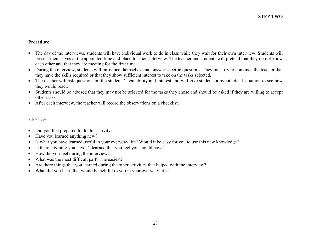- The day of the interviews, students will have individual work to do in class while they wait for their own interview. Students will present themselves at the appointed time and place for their interview. The teacher and students will pretend that they do not know each other and that they are meeting for the first time.
- During the interview, students will introduce themselves and answer specific questions. They must try to convince the teacher that they have the skills required or that they show sufficient interest to take on the tasks selected.
- The teacher will ask questions on the students' availability and interest and will give students a hypothetical situation to see how they would react.
- Students should be advised that they may not be selected for the tasks they chose and should be asked if they are willing to accept other tasks.
- After each interview, the teacher will record the observations on a checklist.

# REVIEW

- •Did you feel prepared to do this activity?
- •Have you learned anything new?
- •Is what you have learned useful in your everyday life? Would it be easy for you to use this new knowledge?
- •Is there anything you haven't learned that you feel you should have?
- •How did you feel during the interview?
- •What was the most difficult part? The easiest?
- •Are there things that you learned during the other activities that helped with the interview?
- $\bullet$ What did you learn that would be helpful to you in your everyday life?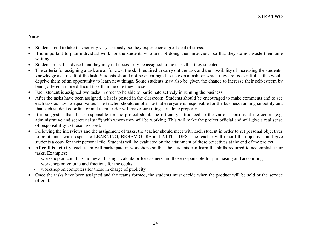- •Students tend to take this activity very seriously, so they experience a great deal of stress.
- • It is important to plan individual work for the students who are not doing their interviews so that they do not waste their time waiting.
- •Students must be advised that they may not necessarily be assigned to the tasks that they selected.
- • The criteria for assigning a task are as follows: the skill required to carry out the task and the possibility of increasing the students' knowledge as a result of the task. Students should not be encouraged to take on a task for which they are too skillful as this would deprive them of an opportunity to learn new things. Some students may also be given the chance to increase their self-esteem by being offered a more difficult task than the one they chose.
- •Each student is assigned two tasks in order to be able to participate actively in running the business.
- • After the tasks have been assigned, a list is posted in the classroom. Students should be encouraged to make comments and to see each task as having equal value. The teacher should emphasize that everyone is responsible for the business running smoothly and that each student coordinator and team leader will make sure things are done properly.
- It is suggested that those responsible for the project should be officially introduced to the various persons at the centre (e.g. administrative and secretarial staff) with whom they will be working. This will make the project official and will give a real sense of responsibility to those involved.
- Following the interviews and the assignment of tasks, the teacher should meet with each student in order to set personal objectives to be attained with respect to LEARNING, BEHAVIOURS and ATTITUDES. The teacher will record the objectives and give students a copy for their personal file. Students will be evaluated on the attainment of these objectives at the end of the project.
- **After this activity,** each team will participate in workshops so that the students can learn the skills required to accomplish their tasks. Examples:
	- workshop on counting money and using a calculator for cashiers and those responsible for purchasing and accounting
	- workshop on volume and fractions for the cooks
	- workshop on computers for those in charge of publicity
- Once the tasks have been assigned and the teams formed, the students must decide when the product will be sold or the service offered.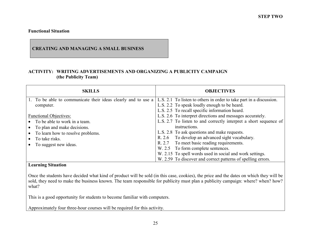#### **CREATING AND MANAGING A SMALL BUSINESS**

# **ACTIVITY: WRITING ADVERTISEMENTS AND ORGANIZING A PUBLICITY CAMPAIGN (the Publicity Team)**

| <b>SKILLS</b>                                                                                                                                                                       | <b>OBJECTIVES</b>                                                                                                                                                                                                                                                                                                                                                                                                                                                        |
|-------------------------------------------------------------------------------------------------------------------------------------------------------------------------------------|--------------------------------------------------------------------------------------------------------------------------------------------------------------------------------------------------------------------------------------------------------------------------------------------------------------------------------------------------------------------------------------------------------------------------------------------------------------------------|
| 1. To be able to communicate their ideas clearly and to use a<br>computer.                                                                                                          | L.S. 2.1 To listen to others in order to take part in a discussion.<br>L.S. 2.2 To speak loudly enough to be heard.<br>L.S. 2.5 To recall specific information heard.                                                                                                                                                                                                                                                                                                    |
| <b>Functional Objectives:</b><br>• To be able to work in a team.<br>• To plan and make decisions.<br>• To learn how to resolve problems.<br>To take risks.<br>To suggest new ideas. | L.S. 2.6 To interpret directions and messages accurately.<br>L.S. 2.7 To listen to and correctly interpret a short sequence of<br>instructions.<br>L.S. 2.8 To ask questions and make requests.<br>To develop an advanced sight vocabulary.<br>R. 2.6<br>To meet basic reading requirements.<br>R. 2.7<br>W. 2.5 To form complete sentences.<br>W. 2.15 To spell words used in social and work settings.<br>W. 2.59 To discover and correct patterns of spelling errors. |

#### **Learning Situation**

Once the students have decided what kind of product will be sold (in this case, cookies), the price and the dates on which they will be sold, they need to make the business known. The team responsible for publicity must plan a publicity campaign: where? when? how? what?

This is a good opportunity for students to become familiar with computers.

Approximately four three-hour courses will be required for this activity.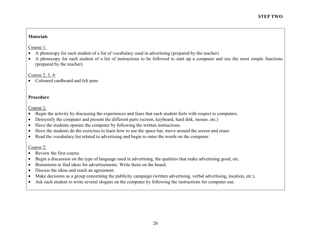# **Materials**

Course 1:

- A photocopy for each student of a list of vocabulary used in advertising (prepared by the teacher)
- $\bullet$  A photocopy for each student of a list of instructions to be followed to start up a computer and use the most simple functions (prepared by the teacher)

Course 2, 3, 4:

• Coloured cardboard and felt pens

# **Procedure**

Course 1:

- Begin the activity by discussing the experiences and fears that each student feels with respect to computers.
- •Demystify the computer and present the different parts (screen, keyboard, hard disk, mouse, etc.)
- •Have the students operate the computer by following the written instructions.
- •Have the students do the exercises to learn how to use the space bar, move around the screen and erase.
- Read the vocabulary list related to advertising and begin to enter the words on the computer.

Course 2:

- Review the first course.
- •Begin a discussion on the type of language used in advertising, the qualities that make advertising good, etc.
- •Brainstorm to find ideas for advertisements. Write them on the board.
- •Discuss the ideas and reach an agreement.
- •Make decisions as a group concerning the publicity campaign (written advertising, verbal advertising, location, etc.).
- Ask each student to write several slogans on the computer by following the instructions for computer use.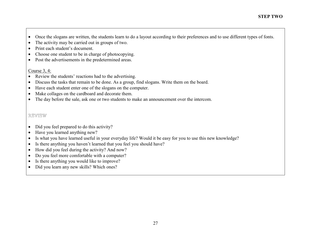- $\bullet$ Once the slogans are written, the students learn to do a layout according to their preferences and to use different types of fonts.
- •The activity may be carried out in groups of two.
- •Print each student's document.
- •Choose one student to be in charge of photocopying.
- $\bullet$ Post the advertisements in the predetermined areas.

#### Course 3, 4:

- $\bullet$ Review the students' reactions had to the advertising.
- •Discuss the tasks that remain to be done. As a group, find slogans. Write them on the board.
- •Have each student enter one of the slogans on the computer.
- •Make collages on the cardboard and decorate them.
- $\bullet$ The day before the sale, ask one or two students to make an announcement over the intercom.

# REVIEW

- •Did you feel prepared to do this activity?
- •Have you learned anything new?
- •Is what you have learned useful in your everyday life? Would it be easy for you to use this new knowledge?
- •Is there anything you haven't learned that you feel you should have?
- •How did you feel during the activity? And now?
- •Do you feel more comfortable with a computer?
- •Is there anything you would like to improve?
- $\bullet$ Did you learn any new skills? Which ones?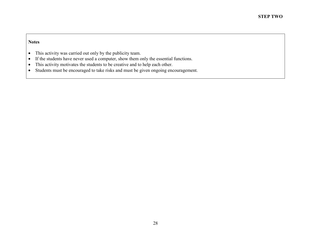- $\bullet$ This activity was carried out only by the publicity team.
- •If the students have never used a computer, show them only the essential functions.
- $\bullet$ This activity motivates the students to be creative and to help each other.
- $\bullet$ Students must be encouraged to take risks and must be given ongoing encouragement.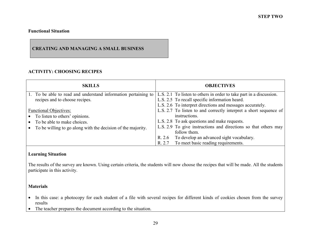# **CREATING AND MANAGING A SMALL BUSINESS**

# **ACTIVITY: CHOOSING RECIPES**

| <b>SKILLS</b>                                                  | <b>OBJECTIVES</b>                                                   |
|----------------------------------------------------------------|---------------------------------------------------------------------|
| 1. To be able to read and understand information pertaining to | L.S. 2.1 To listen to others in order to take part in a discussion. |
| recipes and to choose recipes.                                 | L.S. 2.5 To recall specific information heard.                      |
|                                                                | L.S. 2.6 To interpret directions and messages accurately.           |
| <b>Functional Objectives:</b>                                  | L.S. 2.7 To listen to and correctly interpret a short sequence of   |
| To listen to others' opinions.                                 | instructions.                                                       |
| To be able to make choices.                                    | L.S. 2.8 To ask questions and make requests.                        |
| To be willing to go along with the decision of the majority.   | L.S. 2.9 To give instructions and directions so that others may     |
|                                                                | follow them.                                                        |
|                                                                | To develop an advanced sight vocabulary.<br>R. 2.6                  |
|                                                                | To meet basic reading requirements.<br>R. 2.7                       |

# **Learning Situation**

The results of the survey are known. Using certain criteria, the students will now choose the recipes that will be made. All the students participate in this activity.

#### **Materials**

- In this case: a photocopy for each student of a file with several recipes for different kinds of cookies chosen from the survey results
- The teacher prepares the document according to the situation.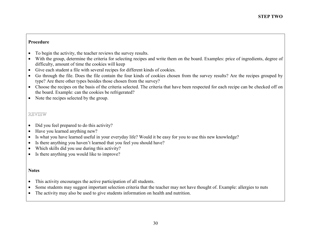- •To begin the activity, the teacher reviews the survey results.
- With the group, determine the criteria for selecting recipes and write them on the board. Examples: price of ingredients, degree of difficulty, amount of time the cookies will keep
- •Give each student a file with several recipes for different kinds of cookies.
- • Go through the file. Does the file contain the four kinds of cookies chosen from the survey results? Are the recipes grouped by type? Are there other types besides those chosen from the survey?
- Choose the recipes on the basis of the criteria selected. The criteria that have been respected for each recipe can be checked off on the board. Example: can the cookies be refrigerated?
- Note the recipes selected by the group.

# REVIEW

- •Did you feel prepared to do this activity?
- •Have you learned anything new?
- •Is what you have learned useful in your everyday life? Would it be easy for you to use this new knowledge?
- •Is there anything you haven't learned that you feel you should have?
- •Which skills did you use during this activity?
- $\bullet$ Is there anything you would like to improve?

- •This activity encourages the active participation of all students.
- •Some students may suggest important selection criteria that the teacher may not have thought of. Example: allergies to nuts
- •The activity may also be used to give students information on health and nutrition.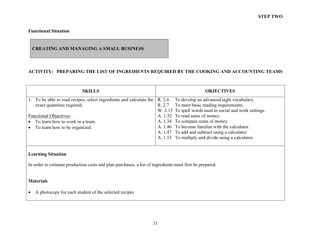# **CREATING AND MANAGING A SMALL BUSINESS**

# **ACTIVITY: PREPARING THE LIST OF INGREDIENTS REQUIRED BY THE COOKING AND ACCOUNTING TEAMS**

| <b>SKILLS</b>                                                       | <b>OBJECTIVES</b>                                        |
|---------------------------------------------------------------------|----------------------------------------------------------|
| 1. To be able to read recipes, select ingredients and calculate the | R. 2.6 To develop an advanced sight vocabulary.          |
| exact quantities required.                                          | R. 2.7 To meet basic reading requirements.               |
|                                                                     | W. 2.15 To spell words used in social and work settings. |
| <b>Functional Objectives:</b>                                       | A. 1.32 To read sums of money.                           |
| • To learn how to work in a team.                                   | A. 1.34 To compare sums of money.                        |
| • To learn how to be organized.                                     | A. 1.46 To become familiar with the calculator.          |
|                                                                     | A. 1.47 To add and subtract using a calculator           |
|                                                                     | A. 1.53 To multiply and divide using a calculator.       |
|                                                                     |                                                          |

# **Learning Situation**

In order to estimate production costs and plan purchases, a list of ingredients must first be prepared.

#### **Materials**

• A photocopy for each student of the selected recipes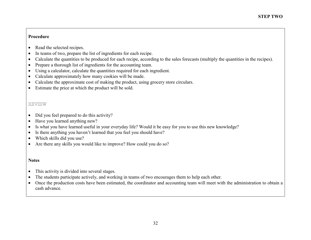- •Read the selected recipes.
- •In teams of two, prepare the list of ingredients for each recipe.
- •Calculate the quantities to be produced for each recipe, according to the sales forecasts (multiply the quantities in the recipes).
- •Prepare a thorough list of ingredients for the accounting team.
- •Using a calculator, calculate the quantities required for each ingredient.
- •Calculate approximately how many cookies will be made.
- •Calculate the approximate cost of making the product, using grocery store circulars.
- $\bullet$ Estimate the price at which the product will be sold.

# REVIEW

- •Did you feel prepared to do this activity?
- •Have you learned anything new?
- •Is what you have learned useful in your everyday life? Would it be easy for you to use this new knowledge?
- •Is there anything you haven't learned that you feel you should have?
- •Which skills did you use?
- $\bullet$ Are there any skills you would like to improve? How could you do so?

- •This activity is divided into several stages.
- •The students participate actively, and working in teams of two encourages them to help each other.
- $\bullet$  Once the production costs have been estimated, the coordinator and accounting team will meet with the administration to obtain a cash advance.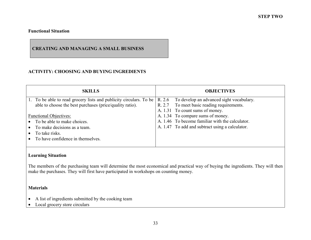# **CREATING AND MANAGING A SMALL BUSINESS**

# **ACTIVITY: CHOOSING AND BUYING INGREDIENTS**

| <b>SKILLS</b>                                                      | <b>OBJECTIVES</b>                                  |
|--------------------------------------------------------------------|----------------------------------------------------|
| 1. To be able to read grocery lists and publicity circulars. To be | To develop an advanced sight vocabulary.<br>R. 2.6 |
| able to choose the best purchases (price/quality ratio).           | R. 2.7 To meet basic reading requirements.         |
|                                                                    | A. 1.31 To count sums of money.                    |
| <b>Functional Objectives:</b>                                      | A. 1.34 To compare sums of money.                  |
| • To be able to make choices.                                      | A. 1.46 To become familiar with the calculator.    |
| $\bullet$ To make decisions as a team.                             | A. 1.47 To add and subtract using a calculator.    |
| To take risks.                                                     |                                                    |
| To have confidence in themselves.                                  |                                                    |
|                                                                    |                                                    |

# **Learning Situation**

The members of the purchasing team will determine the most economical and practical way of buying the ingredients. They will then make the purchases. They will first have participated in workshops on counting money.

#### **Materials**

- A list of ingredients submitted by the cooking team
- $\bullet$ Local grocery store circulars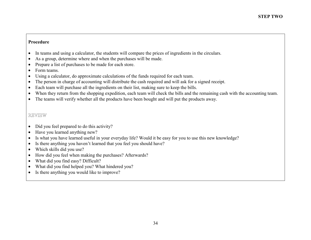- •In teams and using a calculator, the students will compare the prices of ingredients in the circulars.
- •As a group, determine where and when the purchases will be made.
- •Prepare a list of purchases to be made for each store.
- •Form teams.
- •Using a calculator, do approximate calculations of the funds required for each team.
- •The person in charge of accounting will distribute the cash required and will ask for a signed receipt.
- •Each team will purchase all the ingredients on their list, making sure to keep the bills.
- •When they return from the shopping expedition, each team will check the bills and the remaining cash with the accounting team.
- $\bullet$ The teams will verify whether all the products have been bought and will put the products away.

# REVIEW

- $\bullet$ Did you feel prepared to do this activity?
- •Have you learned anything new?
- •Is what you have learned useful in your everyday life? Would it be easy for you to use this new knowledge?
- •Is there anything you haven't learned that you feel you should have?
- $\bullet$ Which skills did you use?
- •How did you feel when making the purchases? Afterwards?
- •What did you find easy? Difficult?
- $\bullet$ What did you find helped you? What hindered you?
- $\bullet$ Is there anything you would like to improve?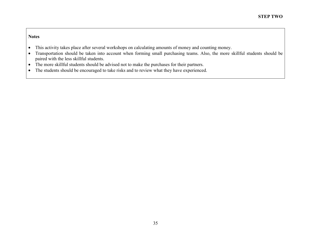- $\bullet$ This activity takes place after several workshops on calculating amounts of money and counting money.
- $\bullet$  Transportation should be taken into account when forming small purchasing teams. Also, the more skillful students should be paired with the less skillful students.
- $\bullet$ The more skillful students should be advised not to make the purchases for their partners.
- $\bullet$ The students should be encouraged to take risks and to review what they have experienced.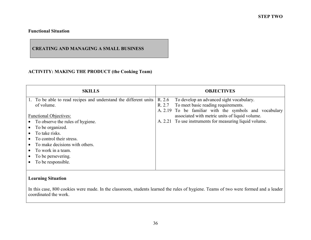# **CREATING AND MANAGING A SMALL BUSINESS**

# **ACTIVITY: MAKING THE PRODUCT (the Cooking Team)**

| <b>SKILLS</b>                                                    | <b>OBJECTIVES</b>                                       |
|------------------------------------------------------------------|---------------------------------------------------------|
| 1. To be able to read recipes and understand the different units | R. 2.6<br>To develop an advanced sight vocabulary.      |
| of volume.                                                       | To meet basic reading requirements.<br>R. 2.7           |
|                                                                  | A. 2.19 To be familiar with the symbols and vocabulary  |
| <b>Functional Objectives:</b>                                    | associated with metric units of liquid volume.          |
| • To observe the rules of hygiene.                               | A. 2.21 To use instruments for measuring liquid volume. |
| To be organized.                                                 |                                                         |
| To take risks.                                                   |                                                         |
| To control their stress.                                         |                                                         |
| To make decisions with others.                                   |                                                         |
| To work in a team.                                               |                                                         |
| To be persevering.                                               |                                                         |
| To be responsible.                                               |                                                         |
|                                                                  |                                                         |

# **Learning Situation**

In this case, 800 cookies were made. In the classroom, students learned the rules of hygiene. Teams of two were formed and a leader coordinated the work.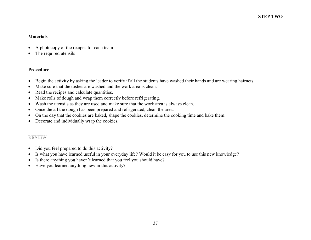#### **Materials**

- •A photocopy of the recipes for each team
- The required utensils

#### **Procedure**

- $\bullet$ Begin the activity by asking the leader to verify if all the students have washed their hands and are wearing hairnets.
- •Make sure that the dishes are washed and the work area is clean.
- •Read the recipes and calculate quantities.
- •Make rolls of dough and wrap them correctly before refrigerating.
- •Wash the utensils as they are used and make sure that the work area is always clean.
- $\bullet$ Once the all the dough has been prepared and refrigerated, clean the area.
- $\bullet$ On the day that the cookies are baked, shape the cookies, determine the cooking time and bake them.
- Decorate and individually wrap the cookies.

# REVIEW

- $\bullet$ Did you feel prepared to do this activity?
- $\bullet$ Is what you have learned useful in your everyday life? Would it be easy for you to use this new knowledge?
- •Is there anything you haven't learned that you feel you should have?
- Have you learned anything new in this activity?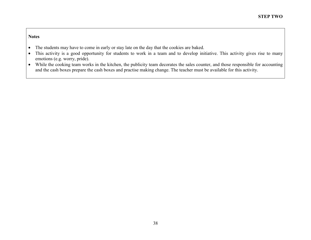- $\bullet$ The students may have to come in early or stay late on the day that the cookies are baked.
- $\bullet$  This activity is a good opportunity for students to work in a team and to develop initiative. This activity gives rise to many emotions (e.g. worry, pride).
- While the cooking team works in the kitchen, the publicity team decorates the sales counter, and those responsible for accounting and the cash boxes prepare the cash boxes and practise making change. The teacher must be available for this activity.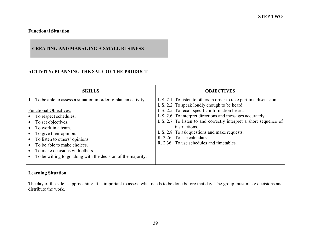# **CREATING AND MANAGING A SMALL BUSINESS**

# **ACTIVITY: PLANNING THE SALE OF THE PRODUCT**

| <b>SKILLS</b>                                                                                                                                                                                                                                                                                                                                                                            | <b>OBJECTIVES</b>                                                                                                                                                                                                                                                                                                                                                                                                                                 |
|------------------------------------------------------------------------------------------------------------------------------------------------------------------------------------------------------------------------------------------------------------------------------------------------------------------------------------------------------------------------------------------|---------------------------------------------------------------------------------------------------------------------------------------------------------------------------------------------------------------------------------------------------------------------------------------------------------------------------------------------------------------------------------------------------------------------------------------------------|
| 1. To be able to assess a situation in order to plan an activity.<br><b>Functional Objectives:</b><br>• To respect schedules.<br>To set objectives.<br>$\bullet$ To work in a team.<br>• To give their opinion.<br>• To listen to others' opinions.<br>• To be able to make choices.<br>• To make decisions with others.<br>To be willing to go along with the decision of the majority. | L.S. 2.1 To listen to others in order to take part in a discussion.<br>L.S. 2.2 To speak loudly enough to be heard.<br>L.S. 2.5 To recall specific information heard.<br>L.S. 2.6 To interpret directions and messages accurately.<br>L.S. 2.7 To listen to and correctly interpret a short sequence of<br>instructions.<br>L.S. 2.8 To ask questions and make requests.<br>R. 2.26 To use calendars.<br>R. 2.36 To use schedules and timetables. |

# **Learning Situation**

The day of the sale is approaching. It is important to assess what needs to be done before that day. The group must make decisions and distribute the work.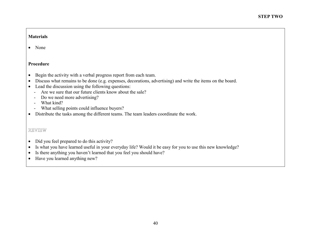#### **Materials**

• None

#### **Procedure**

- $\bullet$ Begin the activity with a verbal progress report from each team.
- $\bullet$ Discuss what remains to be done (e.g. expenses, decorations, advertising) and write the items on the board.
- Lead the discussion using the following questions:
	- Are we sure that our future clients know about the sale?
	- Do we need more advertising?
	- What kind?
	- What selling points could influence buyers?
- Distribute the tasks among the different teams. The team leaders coordinate the work.

#### REVIEW

- $\bullet$ Did you feel prepared to do this activity?
- $\bullet$ Is what you have learned useful in your everyday life? Would it be easy for you to use this new knowledge?
- $\bullet$ Is there anything you haven't learned that you feel you should have?
- $\bullet$ Have you learned anything new?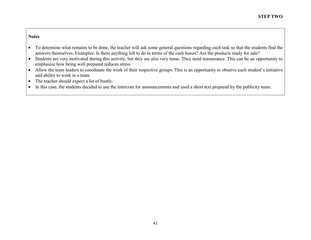- $\bullet$  To determine what remains to be done, the teacher will ask some general questions regarding each task so that the students find the answers themselves. Examples: Is there anything left to do in terms of the cash boxes? Are the products ready for sale?
- $\bullet$  Students are very motivated during this activity, but they are also very tense. They need reassurance. This can be an opportunity to emphasize how being well prepared reduces stress.
- Allow the team leaders to coordinate the work of their respective groups. This is an opportunity to observe each student's initiative and ability to work in a team.
- $\bullet$ The teacher should expect a lot of bustle.
- $\bullet$ In this case, the students decided to use the intercom for announcements and used a short text prepared by the publicity team.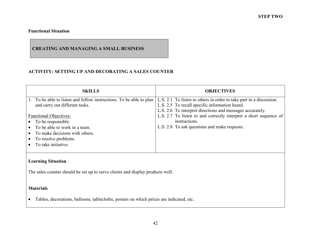# **CREATING AND MANAGING A SMALL BUSINESS**

# **ACTIVITY: SETTING UP AND DECORATING A SALES COUNTER**

| <b>SKILLS</b>                                                       | <b>OBJECTIVES</b>                                                   |  |
|---------------------------------------------------------------------|---------------------------------------------------------------------|--|
| 1. To be able to listen and follow instructions. To be able to plan | L.S. 2.1 To listen to others in order to take part in a discussion. |  |
| and carry out different tasks.                                      | L.S. 2.5 To recall specific information heard.                      |  |
|                                                                     | L.S. 2.6 To interpret directions and messages accurately.           |  |
| <b>Functional Objectives:</b>                                       | L.S. 2.7 To listen to and correctly interpret a short sequence of   |  |
| • To be responsible.                                                | instructions.                                                       |  |
| • To be able to work in a team.                                     | L.S. 2.8 To ask questions and make requests.                        |  |
| To make decisions with others.                                      |                                                                     |  |
| • To resolve problems.                                              |                                                                     |  |
| To take initiative.                                                 |                                                                     |  |
|                                                                     |                                                                     |  |

# **Learning Situation**

The sales counter should be set up to serve clients and display products well.

# **Materials**

• Tables, decorations, balloons, tablecloths, posters on which prices are indicated, etc.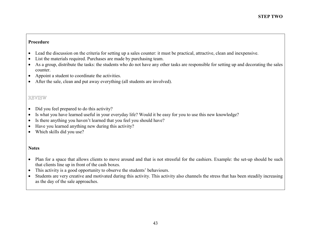- $\bullet$ Lead the discussion on the criteria for setting up a sales counter: it must be practical, attractive, clean and inexpensive.
- •List the materials required. Purchases are made by purchasing team.
- $\bullet$  As a group, distribute the tasks: the students who do not have any other tasks are responsible for setting up and decorating the sales counter.
- •Appoint a student to coordinate the activities.
- $\bullet$ After the sale, clean and put away everything (all students are involved).

# REVIEW

- $\bullet$ Did you feel prepared to do this activity?
- •Is what you have learned useful in your everyday life? Would it be easy for you to use this new knowledge?
- •Is there anything you haven't learned that you feel you should have?
- •Have you learned anything new during this activity?
- $\bullet$ Which skills did you use?

- Plan for a space that allows clients to move around and that is not stressful for the cashiers. Example: the set-up should be such that clients line up in front of the cash boxes.
- $\bullet$ This activity is a good opportunity to observe the students' behaviours.
- $\bullet$  Students are very creative and motivated during this activity. This activity also channels the stress that has been steadily increasing as the day of the sale approaches.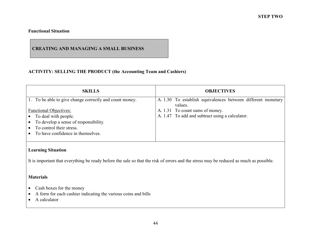# **CREATING AND MANAGING A SMALL BUSINESS**

# **ACTIVITY: SELLING THE PRODUCT (the Accounting Team and Cashiers)**

| <b>SKILLS</b>                                                                                                                                                   | <b>OBJECTIVES</b>                                                                  |
|-----------------------------------------------------------------------------------------------------------------------------------------------------------------|------------------------------------------------------------------------------------|
| 1. To be able to give change correctly and count money.                                                                                                         | A. 1.30 To establish equivalences between different monetary<br>values.            |
| <b>Functional Objectives:</b><br>To deal with people.<br>To develop a sense of responsibility.<br>To control their stress.<br>To have confidence in themselves. | A. 1.31 To count sums of money.<br>A. 1.47 To add and subtract using a calculator. |

# **Learning Situation**

It is important that everything be ready before the sale so that the risk of errors and the stress may be reduced as much as possible.

#### **Materials**

- Cash boxes for the money
- $\bullet$ A form for each cashier indicating the various coins and bills
- $\bullet$ A calculator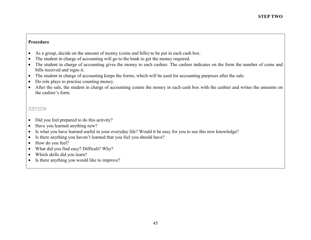- $\bullet$ As a group, decide on the amount of money (coins and bills) to be put in each cash box.
- •The student in charge of accounting will go to the bank to get the money required.
- The student in charge of accounting gives the money to each cashier. The cashier indicates on the form the number of coins and bills received and signs it.
- The student in charge of accounting keeps the forms, which will be used for accounting purposes after the sale.
- •Do role plays to practise counting money.
- After the sale, the student in charge of accounting counts the money in each cash box with the cashier and writes the amounts on the cashier's form.

# REVIEW

- Did you feel prepared to do this activity?
- •Have you learned anything new?
- •Is what you have learned useful in your everyday life? Would it be easy for you to use this new knowledge?
- •Is there anything you haven't learned that you feel you should have?
- •How do you feel?
- •What did you find easy? Difficult? Why?
- $\bullet$ Which skills did you learn?
- $\bullet$ Is there anything you would like to improve?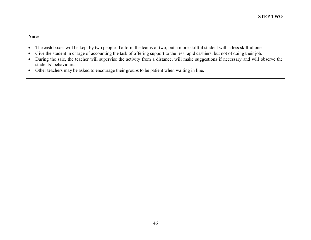- $\bullet$ The cash boxes will be kept by two people. To form the teams of two, put a more skillful student with a less skillful one.
- $\bullet$ Give the student in charge of accounting the task of offering support to the less rapid cashiers, but not of doing their job.
- During the sale, the teacher will supervise the activity from a distance, will make suggestions if necessary and will observe the students' behaviours.
- Other teachers may be asked to encourage their groups to be patient when waiting in line.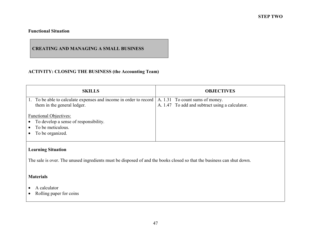# **CREATING AND MANAGING A SMALL BUSINESS**

# **ACTIVITY: CLOSING THE BUSINESS (the Accounting Team)**

| <b>SKILLS</b>                                                                                                                   | <b>OBJECTIVES</b>                               |
|---------------------------------------------------------------------------------------------------------------------------------|-------------------------------------------------|
| To be able to calculate expenses and income in order to record   A. 1.31 To count sums of money.<br>them in the general ledger. | A. 1.47 To add and subtract using a calculator. |
| <b>Functional Objectives:</b><br>To develop a sense of responsibility.<br>$\bullet$<br>To be meticulous.<br>To be organized.    |                                                 |

# **Learning Situation**

The sale is over. The unused ingredients must be disposed of and the books closed so that the business can shut down.

# **Materials**

- A calculator
- Rolling paper for coins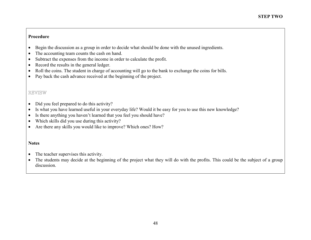- •Begin the discussion as a group in order to decide what should be done with the unused ingredients.
- •The accounting team counts the cash on hand.
- •Subtract the expenses from the income in order to calculate the profit.
- •Record the results in the general ledger.
- •Roll the coins. The student in charge of accounting will go to the bank to exchange the coins for bills.
- $\bullet$ Pay back the cash advance received at the beginning of the project.

# REVIEW

- •Did you feel prepared to do this activity?
- $\bullet$ Is what you have learned useful in your everyday life? Would it be easy for you to use this new knowledge?
- •Is there anything you haven't learned that you feel you should have?
- $\bullet$ Which skills did you use during this activity?
- $\bullet$ Are there any skills you would like to improve? Which ones? How?

- $\bullet$ The teacher supervises this activity.
- $\bullet$  The students may decide at the beginning of the project what they will do with the profits. This could be the subject of a group discussion.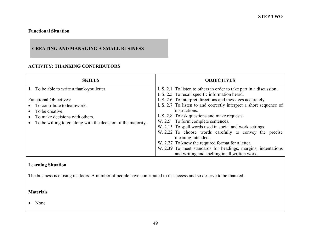# **CREATING AND MANAGING A SMALL BUSINESS**

# **ACTIVITY: THANKING CONTRIBUTORS**

| <b>SKILLS</b>                                                                                                                                                                                                                  | <b>OBJECTIVES</b>                                                                                                                                                                                                                                                                                                                                                                                                                                                                                                                                                                                                                                                                 |
|--------------------------------------------------------------------------------------------------------------------------------------------------------------------------------------------------------------------------------|-----------------------------------------------------------------------------------------------------------------------------------------------------------------------------------------------------------------------------------------------------------------------------------------------------------------------------------------------------------------------------------------------------------------------------------------------------------------------------------------------------------------------------------------------------------------------------------------------------------------------------------------------------------------------------------|
| 1. To be able to write a thank-you letter.<br><b>Functional Objectives:</b><br>To contribute to teamwork.<br>To be creative.<br>To make decisions with others.<br>To be willing to go along with the decision of the majority. | L.S. 2.1 To listen to others in order to take part in a discussion.<br>L.S. 2.5 To recall specific information heard.<br>L.S. 2.6 To interpret directions and messages accurately.<br>L.S. 2.7 To listen to and correctly interpret a short sequence of<br>instructions.<br>L.S. 2.8 To ask questions and make requests.<br>W. 2.5 To form complete sentences.<br>W. 2.15 To spell words used in social and work settings.<br>W. 2.22 To choose words carefully to convey the precise<br>meaning intended.<br>W. 2.27 To know the required format for a letter.<br>W. 2.39 To meet standards for headings, margins, indentations<br>and writing and spelling in all written work. |

#### **Learning Situation**

The business is closing its doors. A number of people have contributed to its success and so deserve to be thanked.

# **Materials**

• None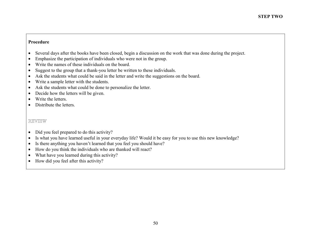- $\bullet$ Several days after the books have been closed, begin a discussion on the work that was done during the project.
- •Emphasize the participation of individuals who were not in the group.
- •Write the names of these individuals on the board.
- •Suggest to the group that a thank-you letter be written to these individuals.
- •Ask the students what could be said in the letter and write the suggestions on the board.
- $\bullet$ Write a sample letter with the students.
- •Ask the students what could be done to personalize the letter.
- $\bullet$ Decide how the letters will be given.
- •Write the letters.
- Distribute the letters.

# REVIEW

- $\bullet$ Did you feel prepared to do this activity?
- •Is what you have learned useful in your everyday life? Would it be easy for you to use this new knowledge?
- •Is there anything you haven't learned that you feel you should have?
- •How do you think the individuals who are thanked will react?
- •What have you learned during this activity?
- $\bullet$ How did you feel after this activity?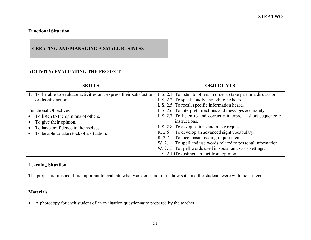# **CREATING AND MANAGING A SMALL BUSINESS**

# **ACTIVITY: EVALUATING THE PROJECT**

| <b>SKILLS</b>                                                                                                                                                                      | <b>OBJECTIVES</b>                                                                                                                                                                                                                                                                                                                                                                                                                                                               |
|------------------------------------------------------------------------------------------------------------------------------------------------------------------------------------|---------------------------------------------------------------------------------------------------------------------------------------------------------------------------------------------------------------------------------------------------------------------------------------------------------------------------------------------------------------------------------------------------------------------------------------------------------------------------------|
| 1. To be able to evaluate activities and express their satisfaction<br>or dissatisfaction.                                                                                         | L.S. 2.1 To listen to others in order to take part in a discussion.<br>L.S. 2.2 To speak loudly enough to be heard.<br>L.S. 2.5 To recall specific information heard.                                                                                                                                                                                                                                                                                                           |
| <b>Functional Objectives:</b><br>• To listen to the opinions of others.<br>To give their opinion.<br>To have confidence in themselves.<br>To be able to take stock of a situation. | L.S. 2.6 To interpret directions and messages accurately.<br>L.S. 2.7 To listen to and correctly interpret a short sequence of<br>instructions.<br>L.S. 2.8 To ask questions and make requests.<br>R. 2.6 To develop an advanced sight vocabulary.<br>To meet basic reading requirements.<br>R. 2.7<br>W. 2.1 To spell and use words related to personal information.<br>W. 2.15 To spell words used in social and work settings.<br>T.S. 2.10To distinguish fact from opinion. |

# **Learning Situation**

The project is finished. It is important to evaluate what was done and to see how satisfied the students were with the project.

# **Materials**

• A photocopy for each student of an evaluation questionnaire prepared by the teacher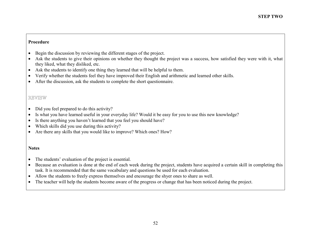- •Begin the discussion by reviewing the different stages of the project.
- • Ask the students to give their opinions on whether they thought the project was a success, how satisfied they were with it, what they liked, what they disliked, etc.
- •Ask the students to identify one thing they learned that will be helpful to them.
- •Verify whether the students feel they have improved their English and arithmetic and learned other skills.
- $\bullet$ After the discussion, ask the students to complete the short questionnaire.

# REVIEW

- •Did you feel prepared to do this activity?
- •Is what you have learned useful in your everyday life? Would it be easy for you to use this new knowledge?
- •Is there anything you haven't learned that you feel you should have?
- •Which skills did you use during this activity?
- $\bullet$ Are there any skills that you would like to improve? Which ones? How?

- $\bullet$ The students' evaluation of the project is essential.
- $\bullet$  Because an evaluation is done at the end of each week during the project, students have acquired a certain skill in completing this task. It is recommended that the same vocabulary and questions be used for each evaluation.
- •Allow the students to freely express themselves and encourage the shyer ones to share as well.
- $\bullet$ The teacher will help the students become aware of the progress or change that has been noticed during the project.